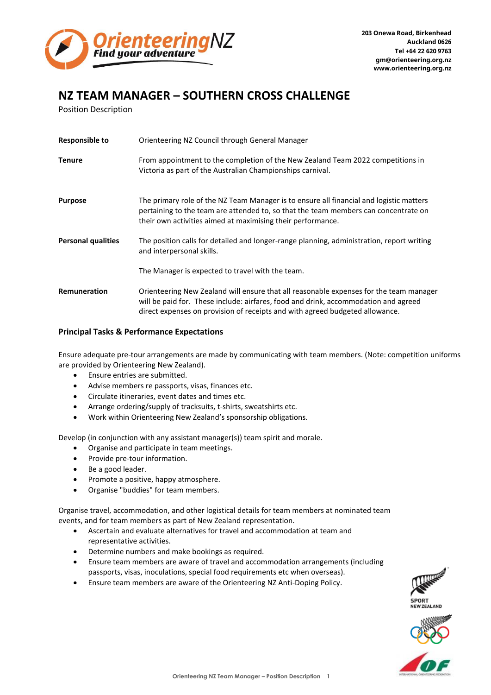

## **NZ TEAM MANAGER – SOUTHERN CROSS CHALLENGE**

Position Description

| <b>Responsible to</b>     | Orienteering NZ Council through General Manager                                                                                                                                                                                                               |
|---------------------------|---------------------------------------------------------------------------------------------------------------------------------------------------------------------------------------------------------------------------------------------------------------|
| <b>Tenure</b>             | From appointment to the completion of the New Zealand Team 2022 competitions in<br>Victoria as part of the Australian Championships carnival.                                                                                                                 |
| <b>Purpose</b>            | The primary role of the NZ Team Manager is to ensure all financial and logistic matters<br>pertaining to the team are attended to, so that the team members can concentrate on<br>their own activities aimed at maximising their performance.                 |
| <b>Personal qualities</b> | The position calls for detailed and longer-range planning, administration, report writing<br>and interpersonal skills.                                                                                                                                        |
|                           | The Manager is expected to travel with the team.                                                                                                                                                                                                              |
| Remuneration              | Orienteering New Zealand will ensure that all reasonable expenses for the team manager<br>will be paid for. These include: airfares, food and drink, accommodation and agreed<br>direct expenses on provision of receipts and with agreed budgeted allowance. |

## **Principal Tasks & Performance Expectations**

Ensure adequate pre-tour arrangements are made by communicating with team members. (Note: competition uniforms are provided by Orienteering New Zealand).

- Ensure entries are submitted.
- Advise members re passports, visas, finances etc.
- Circulate itineraries, event dates and times etc.
- Arrange ordering/supply of tracksuits, t-shirts, sweatshirts etc.
- Work within Orienteering New Zealand's sponsorship obligations.

Develop (in conjunction with any assistant manager(s)) team spirit and morale.

- Organise and participate in team meetings.
- Provide pre-tour information.
- Be a good leader.
- Promote a positive, happy atmosphere.
- Organise "buddies" for team members.

Organise travel, accommodation, and other logistical details for team members at nominated team events, and for team members as part of New Zealand representation.

- Ascertain and evaluate alternatives for travel and accommodation at team and representative activities.
- Determine numbers and make bookings as required.
- Ensure team members are aware of travel and accommodation arrangements (including passports, visas, inoculations, special food requirements etc when overseas).
- Ensure team members are aware of the Orienteering NZ Anti-Doping Policy.